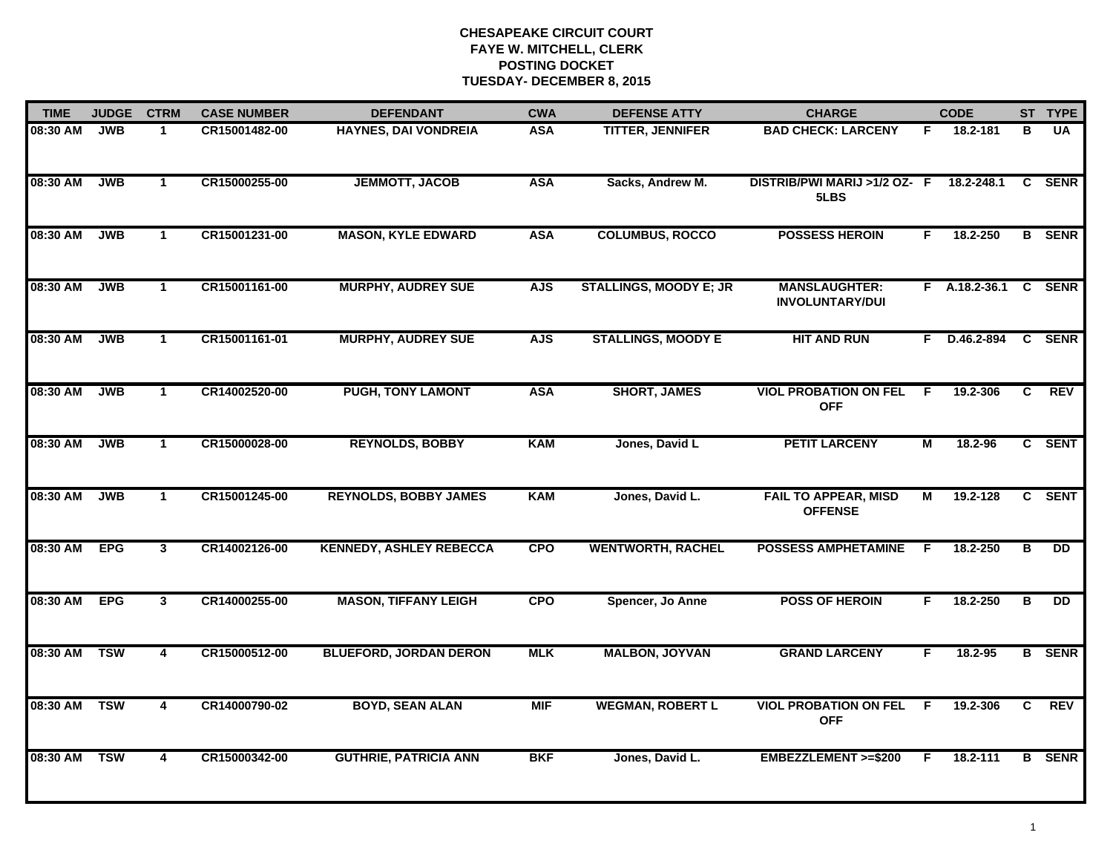| <b>TIME</b>  | <b>JUDGE</b> | <b>CTRM</b>             | <b>CASE NUMBER</b> | <b>DEFENDANT</b>               | <b>CWA</b> | <b>DEFENSE ATTY</b>           | <b>CHARGE</b>                                  |                | <b>CODE</b>          |              | ST TYPE       |
|--------------|--------------|-------------------------|--------------------|--------------------------------|------------|-------------------------------|------------------------------------------------|----------------|----------------------|--------------|---------------|
| 08:30 AM     | JWB          | 1                       | CR15001482-00      | <b>HAYNES, DAI VONDREIA</b>    | <b>ASA</b> | <b>TITTER, JENNIFER</b>       | <b>BAD CHECK: LARCENY</b>                      | F.             | 18.2-181             | в            | <b>UA</b>     |
| 08:30 AM     | JWB          | $\mathbf{1}$            | CR15000255-00      | <b>JEMMOTT, JACOB</b>          | <b>ASA</b> | Sacks, Andrew M.              | DISTRIB/PWI MARIJ >1/2 OZ- F<br>5LBS           |                | 18.2-248.1           | $\mathbf{c}$ | <b>SENR</b>   |
| 08:30 AM     | JWB          | $\mathbf{1}$            | CR15001231-00      | <b>MASON, KYLE EDWARD</b>      | <b>ASA</b> | <b>COLUMBUS, ROCCO</b>        | <b>POSSESS HEROIN</b>                          | F.             | 18.2-250             |              | <b>B</b> SENR |
| 08:30 AM     | <b>JWB</b>   | $\mathbf 1$             | CR15001161-00      | <b>MURPHY, AUDREY SUE</b>      | <b>AJS</b> | <b>STALLINGS, MOODY E; JR</b> | <b>MANSLAUGHTER:</b><br><b>INVOLUNTARY/DUI</b> |                | F A.18.2-36.1 C SENR |              |               |
| 08:30 AM     | <b>JWB</b>   | $\mathbf{1}$            | CR15001161-01      | <b>MURPHY, AUDREY SUE</b>      | <b>AJS</b> | <b>STALLINGS, MOODY E</b>     | <b>HIT AND RUN</b>                             |                | F D.46.2-894         |              | C SENR        |
| 08:30 AM     | <b>JWB</b>   | $\mathbf 1$             | CR14002520-00      | <b>PUGH, TONY LAMONT</b>       | <b>ASA</b> | <b>SHORT, JAMES</b>           | <b>VIOL PROBATION ON FEL</b><br><b>OFF</b>     | F              | 19.2-306             | C            | <b>REV</b>    |
| 08:30 AM     | <b>JWB</b>   | $\mathbf{1}$            | CR15000028-00      | <b>REYNOLDS, BOBBY</b>         | <b>KAM</b> | Jones, David L                | <b>PETIT LARCENY</b>                           | $\overline{M}$ | 18.2-96              |              | C SENT        |
| 08:30 AM     | JWB          | $\mathbf 1$             | CR15001245-00      | <b>REYNOLDS, BOBBY JAMES</b>   | <b>KAM</b> | Jones, David L.               | <b>FAIL TO APPEAR, MISD</b><br><b>OFFENSE</b>  | М              | 19.2-128             |              | C SENT        |
| 08:30 AM     | <b>EPG</b>   | 3                       | CR14002126-00      | <b>KENNEDY, ASHLEY REBECCA</b> | <b>CPO</b> | <b>WENTWORTH, RACHEL</b>      | <b>POSSESS AMPHETAMINE</b>                     | F              | 18.2-250             | в            | <b>DD</b>     |
| 08:30 AM     | <b>EPG</b>   | 3 <sup>1</sup>          | CR14000255-00      | <b>MASON, TIFFANY LEIGH</b>    | <b>CPO</b> | Spencer, Jo Anne              | <b>POSS OF HEROIN</b>                          | F.             | 18.2-250             | B            | <b>DD</b>     |
| 08:30 AM     | <b>TSW</b>   | 4                       | CR15000512-00      | <b>BLUEFORD, JORDAN DERON</b>  | <b>MLK</b> | <b>MALBON, JOYVAN</b>         | <b>GRAND LARCENY</b>                           | F.             | 18.2-95              |              | <b>B</b> SENR |
| 08:30 AM TSW |              | $\overline{\mathbf{4}}$ | CR14000790-02      | <b>BOYD, SEAN ALAN</b>         | <b>MIF</b> | <b>WEGMAN, ROBERT L</b>       | <b>VIOL PROBATION ON FEL</b><br><b>OFF</b>     | F.             | 19.2-306             | C            | <b>REV</b>    |
| 08:30 AM TSW |              | 4                       | CR15000342-00      | <b>GUTHRIE, PATRICIA ANN</b>   | <b>BKF</b> | Jones, David L.               | EMBEZZLEMENT >=\$200                           | F.             | 18.2-111             |              | <b>B</b> SENR |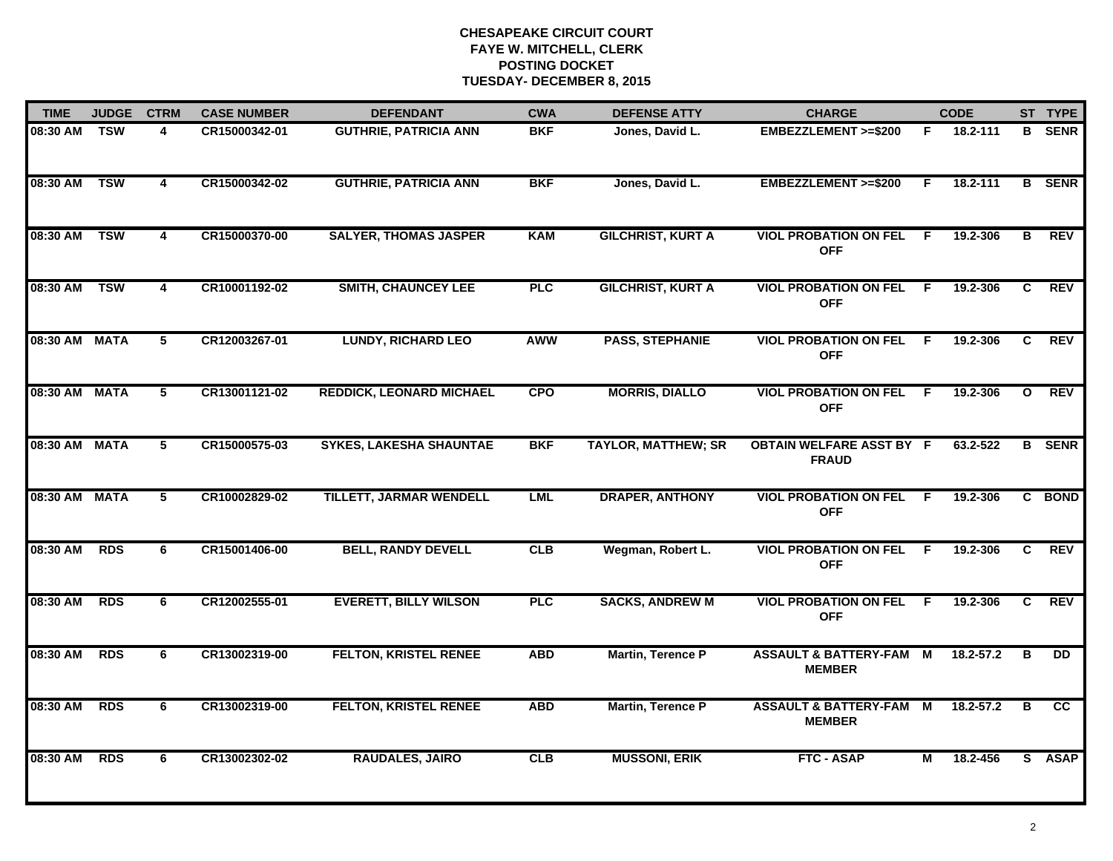| <b>TIME</b>   | <b>JUDGE</b> | <b>CTRM</b>             | <b>CASE NUMBER</b> | <b>DEFENDANT</b>                | <b>CWA</b> | <b>DEFENSE ATTY</b>        | <b>CHARGE</b>                                       |    | <b>CODE</b>   |                | ST TYPE       |
|---------------|--------------|-------------------------|--------------------|---------------------------------|------------|----------------------------|-----------------------------------------------------|----|---------------|----------------|---------------|
| 08:30 AM      | <b>TSW</b>   | 4                       | CR15000342-01      | <b>GUTHRIE, PATRICIA ANN</b>    | <b>BKF</b> | Jones, David L.            | EMBEZZLEMENT >=\$200                                | F. | 18.2-111      | B              | <b>SENR</b>   |
| 08:30 AM      | <b>TSW</b>   | $\overline{\mathbf{4}}$ | CR15000342-02      | <b>GUTHRIE, PATRICIA ANN</b>    | <b>BKF</b> | Jones, David L.            | <b>EMBEZZLEMENT &gt;=\$200</b>                      | F. | 18.2-111      |                | <b>B</b> SENR |
| 08:30 AM      | <b>TSW</b>   | $\overline{4}$          | CR15000370-00      | <b>SALYER, THOMAS JASPER</b>    | <b>KAM</b> | <b>GILCHRIST, KURT A</b>   | <b>VIOL PROBATION ON FEL</b><br><b>OFF</b>          | -F | 19.2-306      | $\overline{B}$ | <b>REV</b>    |
| 08:30 AM      | <b>TSW</b>   | 4                       | CR10001192-02      | <b>SMITH, CHAUNCEY LEE</b>      | <b>PLC</b> | <b>GILCHRIST, KURT A</b>   | <b>VIOL PROBATION ON FEL</b><br><b>OFF</b>          | F. | 19.2-306      | C.             | <b>REV</b>    |
| 08:30 AM MATA |              | 5                       | CR12003267-01      | <b>LUNDY, RICHARD LEO</b>       | <b>AWW</b> | <b>PASS, STEPHANIE</b>     | <b>VIOL PROBATION ON FEL</b><br><b>OFF</b>          | F  | 19.2-306      | C              | <b>REV</b>    |
| 08:30 AM MATA |              | 5                       | CR13001121-02      | <b>REDDICK, LEONARD MICHAEL</b> | <b>CPO</b> | <b>MORRIS, DIALLO</b>      | <b>VIOL PROBATION ON FEL</b><br><b>OFF</b>          | -F | 19.2-306      | $\mathbf{o}$   | <b>REV</b>    |
| 08:30 AM MATA |              | $\overline{5}$          | CR15000575-03      | <b>SYKES, LAKESHA SHAUNTAE</b>  | <b>BKF</b> | <b>TAYLOR, MATTHEW; SR</b> | <b>OBTAIN WELFARE ASST BY F</b><br><b>FRAUD</b>     |    | 63.2-522      |                | <b>B</b> SENR |
| 08:30 AM MATA |              | 5                       | CR10002829-02      | <b>TILLETT, JARMAR WENDELL</b>  | <b>LML</b> | <b>DRAPER, ANTHONY</b>     | <b>VIOL PROBATION ON FEL</b><br><b>OFF</b>          | -F | 19.2-306      | $\mathbf{c}$   | <b>BOND</b>   |
| 08:30 AM      | <b>RDS</b>   | 6                       | CR15001406-00      | <b>BELL, RANDY DEVELL</b>       | CLB        | Wegman, Robert L.          | <b>VIOL PROBATION ON FEL</b><br><b>OFF</b>          | F. | 19.2-306      | C              | <b>REV</b>    |
| 08:30 AM      | <b>RDS</b>   | 6                       | CR12002555-01      | <b>EVERETT, BILLY WILSON</b>    | PLC        | <b>SACKS, ANDREW M</b>     | <b>VIOL PROBATION ON FEL</b><br><b>OFF</b>          | E  | 19.2-306      | C              | <b>REV</b>    |
| 08:30 AM      | <b>RDS</b>   | 6                       | CR13002319-00      | <b>FELTON, KRISTEL RENEE</b>    | <b>ABD</b> | <b>Martin, Terence P</b>   | <b>ASSAULT &amp; BATTERY-FAM M</b><br><b>MEMBER</b> |    | $18.2 - 57.2$ | в              | DD            |
| 08:30 AM      | <b>RDS</b>   | 6                       | CR13002319-00      | <b>FELTON, KRISTEL RENEE</b>    | <b>ABD</b> | Martin, Terence P          | <b>ASSAULT &amp; BATTERY-FAM</b><br><b>MEMBER</b>   | M  | 18.2-57.2     | В              | <b>CC</b>     |
| 08:30 AM      | <b>RDS</b>   | 6                       | CR13002302-02      | <b>RAUDALES, JAIRO</b>          | CLB        | <b>MUSSONI, ERIK</b>       | <b>FTC - ASAP</b>                                   | М  | 18.2-456      |                | S ASAP        |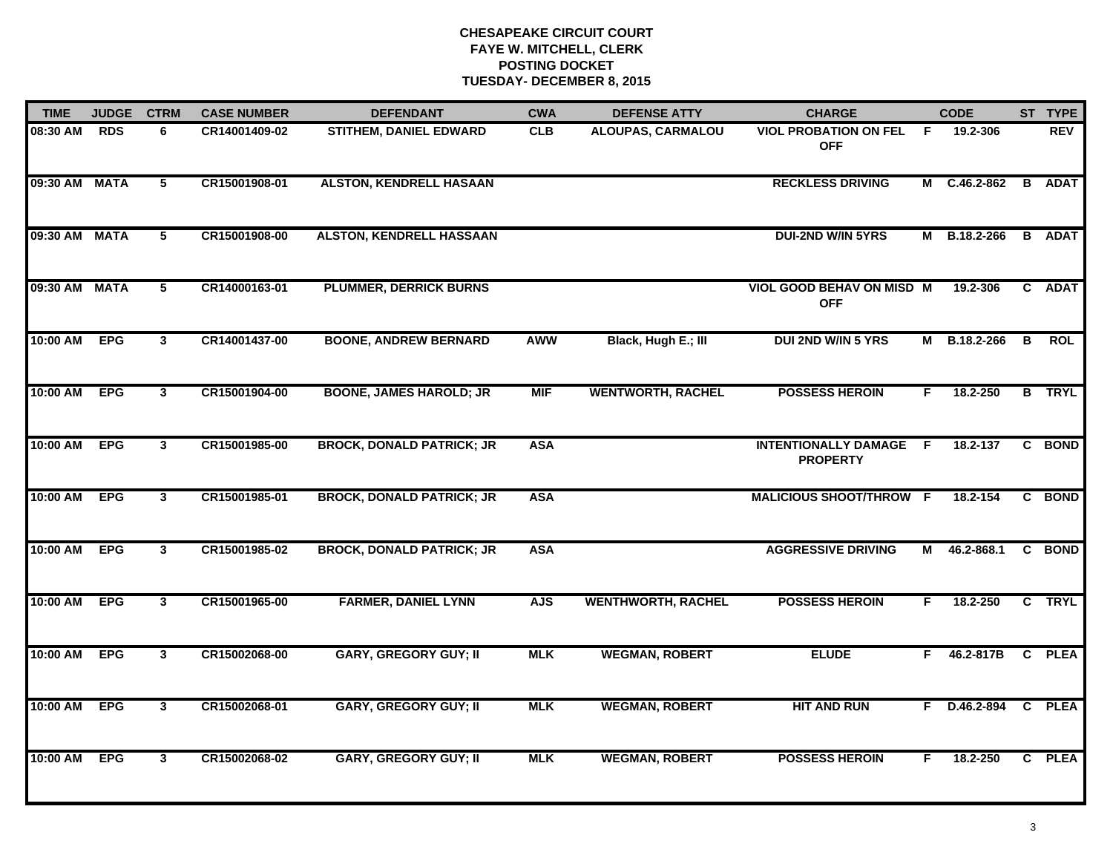| <b>TIME</b>   | <b>JUDGE</b> | <b>CTRM</b>     | <b>CASE NUMBER</b> | <b>DEFENDANT</b>                 | <b>CWA</b> | <b>DEFENSE ATTY</b>       | <b>CHARGE</b>                                  |    | <b>CODE</b>       |   | ST TYPE       |
|---------------|--------------|-----------------|--------------------|----------------------------------|------------|---------------------------|------------------------------------------------|----|-------------------|---|---------------|
| 08:30 AM      | <b>RDS</b>   | 6               | CR14001409-02      | <b>STITHEM, DANIEL EDWARD</b>    | <b>CLB</b> | <b>ALOUPAS, CARMALOU</b>  | <b>VIOL PROBATION ON FEL</b><br><b>OFF</b>     | F. | 19.2-306          |   | <b>REV</b>    |
| 09:30 AM MATA |              | $5\overline{ }$ | CR15001908-01      | <b>ALSTON, KENDRELL HASAAN</b>   |            |                           | <b>RECKLESS DRIVING</b>                        |    | M C.46.2-862      | B | <b>ADAT</b>   |
| 09:30 AM MATA |              | 5               | CR15001908-00      | <b>ALSTON, KENDRELL HASSAAN</b>  |            |                           | DUI-2ND W/IN 5YRS                              |    | M B.18.2-266      |   | <b>B</b> ADAT |
| 09:30 AM MATA |              | 5               | CR14000163-01      | <b>PLUMMER, DERRICK BURNS</b>    |            |                           | <b>VIOL GOOD BEHAV ON MISD M</b><br><b>OFF</b> |    | 19.2-306          |   | C ADAT        |
| 10:00 AM      | <b>EPG</b>   | $\mathbf{3}$    | CR14001437-00      | <b>BOONE, ANDREW BERNARD</b>     | <b>AWW</b> | Black, Hugh E.; III       | <b>DUI 2ND W/IN 5 YRS</b>                      | M  | B.18.2-266        | B | <b>ROL</b>    |
| 10:00 AM      | <b>EPG</b>   | $\mathbf{3}$    | CR15001904-00      | <b>BOONE, JAMES HAROLD; JR</b>   | <b>MIF</b> | <b>WENTWORTH, RACHEL</b>  | <b>POSSESS HEROIN</b>                          | F. | 18.2-250          |   | <b>B</b> TRYL |
| 10:00 AM      | <b>EPG</b>   | $\mathbf{3}$    | CR15001985-00      | <b>BROCK, DONALD PATRICK; JR</b> | <b>ASA</b> |                           | <b>INTENTIONALLY DAMAGE</b><br><b>PROPERTY</b> | F. | 18.2-137          |   | C BOND        |
| 10:00 AM      | <b>EPG</b>   | $\mathbf{3}$    | CR15001985-01      | <b>BROCK, DONALD PATRICK; JR</b> | <b>ASA</b> |                           | <b>MALICIOUS SHOOT/THROW F</b>                 |    | 18.2-154          |   | C BOND        |
| 10:00 AM      | <b>EPG</b>   | $\mathbf{3}$    | CR15001985-02      | <b>BROCK, DONALD PATRICK; JR</b> | <b>ASA</b> |                           | <b>AGGRESSIVE DRIVING</b>                      | М  | 46.2-868.1        |   | C BOND        |
| 10:00 AM      | <b>EPG</b>   | 3 <sup>1</sup>  | CR15001965-00      | <b>FARMER, DANIEL LYNN</b>       | <b>AJS</b> | <b>WENTHWORTH, RACHEL</b> | <b>POSSESS HEROIN</b>                          | F. | 18.2-250          |   | C TRYL        |
| 10:00 AM      | <b>EPG</b>   | 3               | CR15002068-00      | <b>GARY, GREGORY GUY; II</b>     | <b>MLK</b> | <b>WEGMAN, ROBERT</b>     | <b>ELUDE</b>                                   |    | $F = 46.2 - 817B$ |   | C PLEA        |
| 10:00 AM      | <b>EPG</b>   | $\mathbf{3}$    | CR15002068-01      | <b>GARY, GREGORY GUY; II</b>     | <b>MLK</b> | <b>WEGMAN, ROBERT</b>     | <b>HIT AND RUN</b>                             |    | $F$ D.46.2-894    |   | C PLEA        |
| 10:00 AM      | <b>EPG</b>   | $\mathbf{3}$    | CR15002068-02      | <b>GARY, GREGORY GUY; II</b>     | <b>MLK</b> | <b>WEGMAN, ROBERT</b>     | <b>POSSESS HEROIN</b>                          | F. | 18.2-250          |   | C PLEA        |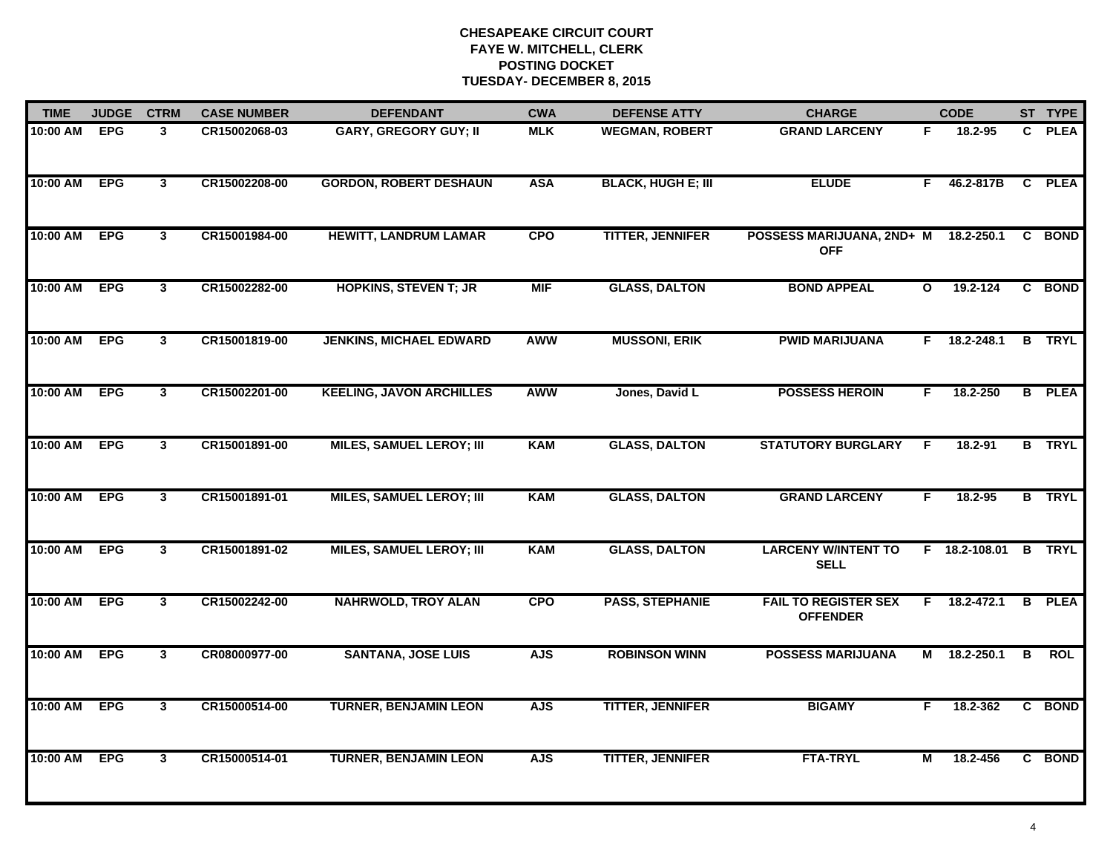| <b>TIME</b>  | <b>JUDGE</b> | <b>CTRM</b>             | <b>CASE NUMBER</b> | <b>DEFENDANT</b>                | <b>CWA</b> | <b>DEFENSE ATTY</b>       | <b>CHARGE</b>                                  |              | <b>CODE</b>    |              | ST TYPE       |
|--------------|--------------|-------------------------|--------------------|---------------------------------|------------|---------------------------|------------------------------------------------|--------------|----------------|--------------|---------------|
| 10:00 AM     | EPG          | 3                       | CR15002068-03      | <b>GARY, GREGORY GUY; II</b>    | <b>MLK</b> | <b>WEGMAN, ROBERT</b>     | <b>GRAND LARCENY</b>                           | F.           | 18.2-95        | C.           | <b>PLEA</b>   |
| 10:00 AM     | EPG          | $\mathbf{3}$            | CR15002208-00      | <b>GORDON, ROBERT DESHAUN</b>   | <b>ASA</b> | <b>BLACK, HUGH E; III</b> | <b>ELUDE</b>                                   | F.           | 46.2-817B      | $\mathbf{C}$ | <b>PLEA</b>   |
| 10:00 AM     | <b>EPG</b>   | $\overline{\mathbf{3}}$ | CR15001984-00      | <b>HEWITT, LANDRUM LAMAR</b>    | <b>CPO</b> | <b>TITTER, JENNIFER</b>   | POSSESS MARIJUANA, 2ND+ M<br><b>OFF</b>        |              | 18.2-250.1     |              | C BOND        |
| 10:00 AM     | <b>EPG</b>   | 3 <sup>1</sup>          | CR15002282-00      | <b>HOPKINS, STEVEN T; JR</b>    | <b>MIF</b> | <b>GLASS, DALTON</b>      | <b>BOND APPEAL</b>                             | $\mathbf{o}$ | $19.2 - 124$   |              | C BOND        |
| 10:00 AM     | <b>EPG</b>   | $\mathbf{3}$            | CR15001819-00      | <b>JENKINS, MICHAEL EDWARD</b>  | <b>AWW</b> | <b>MUSSONI, ERIK</b>      | <b>PWID MARIJUANA</b>                          |              | $F$ 18.2-248.1 |              | <b>B</b> TRYL |
| 10:00 AM EPG |              | $\mathbf{3}$            | CR15002201-00      | <b>KEELING, JAVON ARCHILLES</b> | <b>AWW</b> | Jones, David L            | <b>POSSESS HEROIN</b>                          | F.           | 18.2-250       |              | <b>B</b> PLEA |
| 10:00 AM     | <b>EPG</b>   | $\mathbf{3}$            | CR15001891-00      | <b>MILES, SAMUEL LEROY; III</b> | <b>KAM</b> | <b>GLASS, DALTON</b>      | <b>STATUTORY BURGLARY</b>                      | F.           | 18.2-91        |              | <b>B</b> TRYL |
| 10:00 AM     | <b>EPG</b>   | $\overline{3}$          | CR15001891-01      | <b>MILES, SAMUEL LEROY; III</b> | <b>KAM</b> | <b>GLASS, DALTON</b>      | <b>GRAND LARCENY</b>                           | F            | 18.2-95        |              | <b>B</b> TRYL |
| 10:00 AM     | <b>EPG</b>   | $\mathbf{3}$            | CR15001891-02      | <b>MILES, SAMUEL LEROY; III</b> | <b>KAM</b> | <b>GLASS, DALTON</b>      | <b>LARCENY W/INTENT TO</b><br><b>SELL</b>      |              | F 18.2-108.01  |              | <b>B</b> TRYL |
| 10:00 AM     | <b>EPG</b>   | 3                       | CR15002242-00      | <b>NAHRWOLD, TROY ALAN</b>      | <b>CPO</b> | <b>PASS, STEPHANIE</b>    | <b>FAIL TO REGISTER SEX</b><br><b>OFFENDER</b> | F.           | 18.2-472.1     | B            | <b>PLEA</b>   |
| 10:00 AM     | <b>EPG</b>   | 3                       | CR08000977-00      | <b>SANTANA, JOSE LUIS</b>       | <b>AJS</b> | <b>ROBINSON WINN</b>      | <b>POSSESS MARIJUANA</b>                       |              | M 18.2-250.1   | В            | <b>ROL</b>    |
| 10:00 AM     | <b>EPG</b>   | $\mathbf{3}$            | CR15000514-00      | <b>TURNER, BENJAMIN LEON</b>    | <b>AJS</b> | <b>TITTER, JENNIFER</b>   | <b>BIGAMY</b>                                  | F.           | 18.2-362       | C            | <b>BOND</b>   |
| 10:00 AM     | <b>EPG</b>   | $\overline{3}$          | CR15000514-01      | <b>TURNER, BENJAMIN LEON</b>    | <b>AJS</b> | <b>TITTER, JENNIFER</b>   | <b>FTA-TRYL</b>                                | М            | 18.2-456       |              | C BOND        |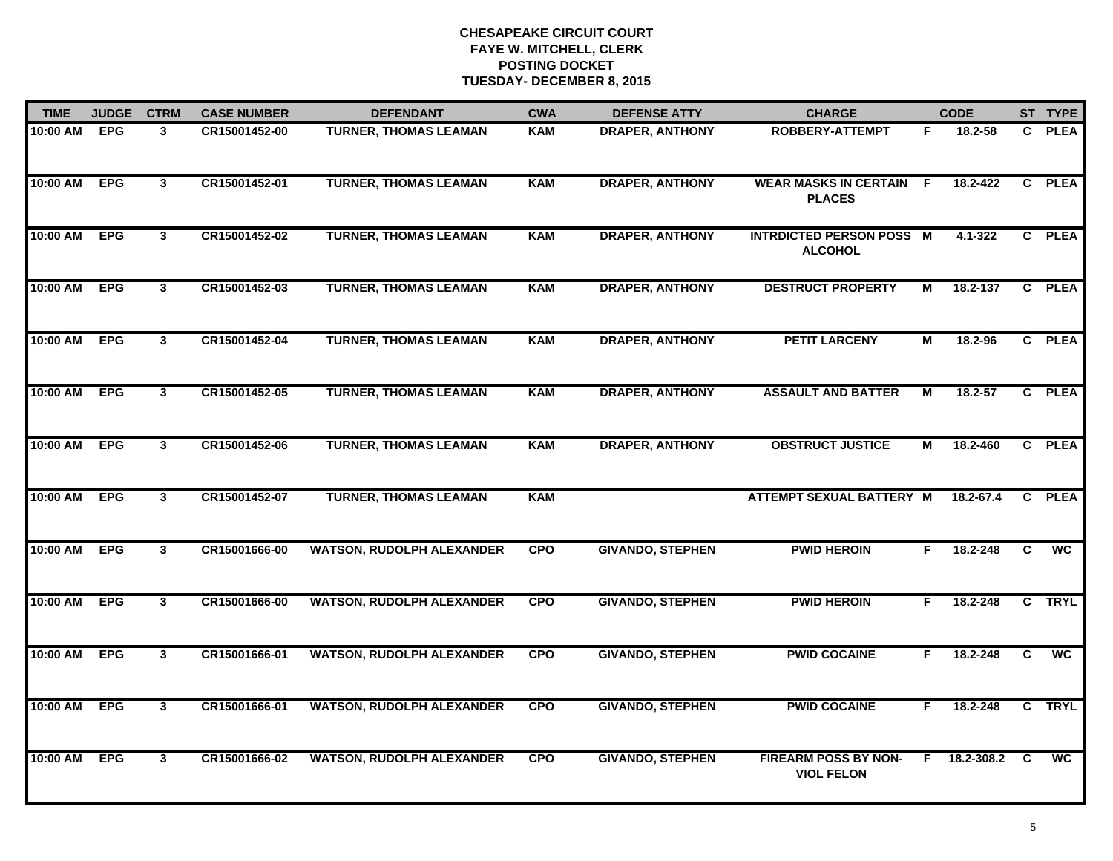| <b>TIME</b> | <b>JUDGE</b> | <b>CTRM</b>    | <b>CASE NUMBER</b> | <b>DEFENDANT</b>                 | <b>CWA</b> | <b>DEFENSE ATTY</b>     | <b>CHARGE</b>                                     |    | <b>CODE</b> |          | ST TYPE     |
|-------------|--------------|----------------|--------------------|----------------------------------|------------|-------------------------|---------------------------------------------------|----|-------------|----------|-------------|
| 10:00 AM    | <b>EPG</b>   | 3              | CR15001452-00      | <b>TURNER, THOMAS LEAMAN</b>     | <b>KAM</b> | <b>DRAPER, ANTHONY</b>  | <b>ROBBERY-ATTEMPT</b>                            | F. | 18.2-58     |          | C PLEA      |
| 10:00 AM    | <b>EPG</b>   | $\mathbf{3}$   | CR15001452-01      | <b>TURNER, THOMAS LEAMAN</b>     | <b>KAM</b> | <b>DRAPER, ANTHONY</b>  | <b>WEAR MASKS IN CERTAIN F</b><br><b>PLACES</b>   |    | 18.2-422    |          | C PLEA      |
| 10:00 AM    | <b>EPG</b>   | $\overline{3}$ | CR15001452-02      | <b>TURNER, THOMAS LEAMAN</b>     | <b>KAM</b> | <b>DRAPER, ANTHONY</b>  | <b>INTRDICTED PERSON POSS M</b><br><b>ALCOHOL</b> |    | $4.1 - 322$ |          | C PLEA      |
| 10:00 AM    | <b>EPG</b>   | 3 <sup>1</sup> | CR15001452-03      | <b>TURNER, THOMAS LEAMAN</b>     | <b>KAM</b> | <b>DRAPER, ANTHONY</b>  | <b>DESTRUCT PROPERTY</b>                          | М  | 18.2-137    |          | C PLEA      |
| 10:00 AM    | <b>EPG</b>   | 3              | CR15001452-04      | <b>TURNER, THOMAS LEAMAN</b>     | <b>KAM</b> | <b>DRAPER, ANTHONY</b>  | <b>PETIT LARCENY</b>                              | М  | 18.2-96     |          | C PLEA      |
| 10:00 AM    | <b>EPG</b>   | $\mathbf{3}$   | CR15001452-05      | <b>TURNER, THOMAS LEAMAN</b>     | <b>KAM</b> | <b>DRAPER, ANTHONY</b>  | <b>ASSAULT AND BATTER</b>                         | М  | 18.2-57     |          | C PLEA      |
| 10:00 AM    | <b>EPG</b>   | $\mathbf{3}$   | CR15001452-06      | <b>TURNER, THOMAS LEAMAN</b>     | <b>KAM</b> | <b>DRAPER, ANTHONY</b>  | <b>OBSTRUCT JUSTICE</b>                           | М  | 18.2-460    |          | C PLEA      |
| 10:00 AM    | <b>EPG</b>   | $\mathbf{3}$   | CR15001452-07      | <b>TURNER, THOMAS LEAMAN</b>     | <b>KAM</b> |                         | <b>ATTEMPT SEXUAL BATTERY M</b>                   |    | 18.2-67.4   |          | C PLEA      |
| 10:00 AM    | <b>EPG</b>   | 3              | CR15001666-00      | <b>WATSON, RUDOLPH ALEXANDER</b> | <b>CPO</b> | <b>GIVANDO, STEPHEN</b> | <b>PWID HEROIN</b>                                | F. | 18.2-248    | C.       | <b>WC</b>   |
| 10:00 AM    | <b>EPG</b>   | 3              | CR15001666-00      | <b>WATSON, RUDOLPH ALEXANDER</b> | <b>CPO</b> | <b>GIVANDO, STEPHEN</b> | <b>PWID HEROIN</b>                                | F. | 18.2-248    |          | C TRYL      |
| 10:00 AM    | <b>EPG</b>   | 3              | CR15001666-01      | <b>WATSON, RUDOLPH ALEXANDER</b> | <b>CPO</b> | <b>GIVANDO, STEPHEN</b> | <b>PWID COCAINE</b>                               | F. | 18.2-248    | C.       | <b>WC</b>   |
| 10:00 AM    | <b>EPG</b>   | $\mathbf{3}$   | CR15001666-01      | <b>WATSON, RUDOLPH ALEXANDER</b> | <b>CPO</b> | <b>GIVANDO, STEPHEN</b> | <b>PWID COCAINE</b>                               | F. | 18.2-248    | C        | <b>TRYL</b> |
| 10:00 AM    | <b>EPG</b>   | $\overline{3}$ | CR15001666-02      | <b>WATSON, RUDOLPH ALEXANDER</b> | <b>CPO</b> | <b>GIVANDO, STEPHEN</b> | <b>FIREARM POSS BY NON-</b><br><b>VIOL FELON</b>  | F. | 18.2-308.2  | <b>C</b> | <b>WC</b>   |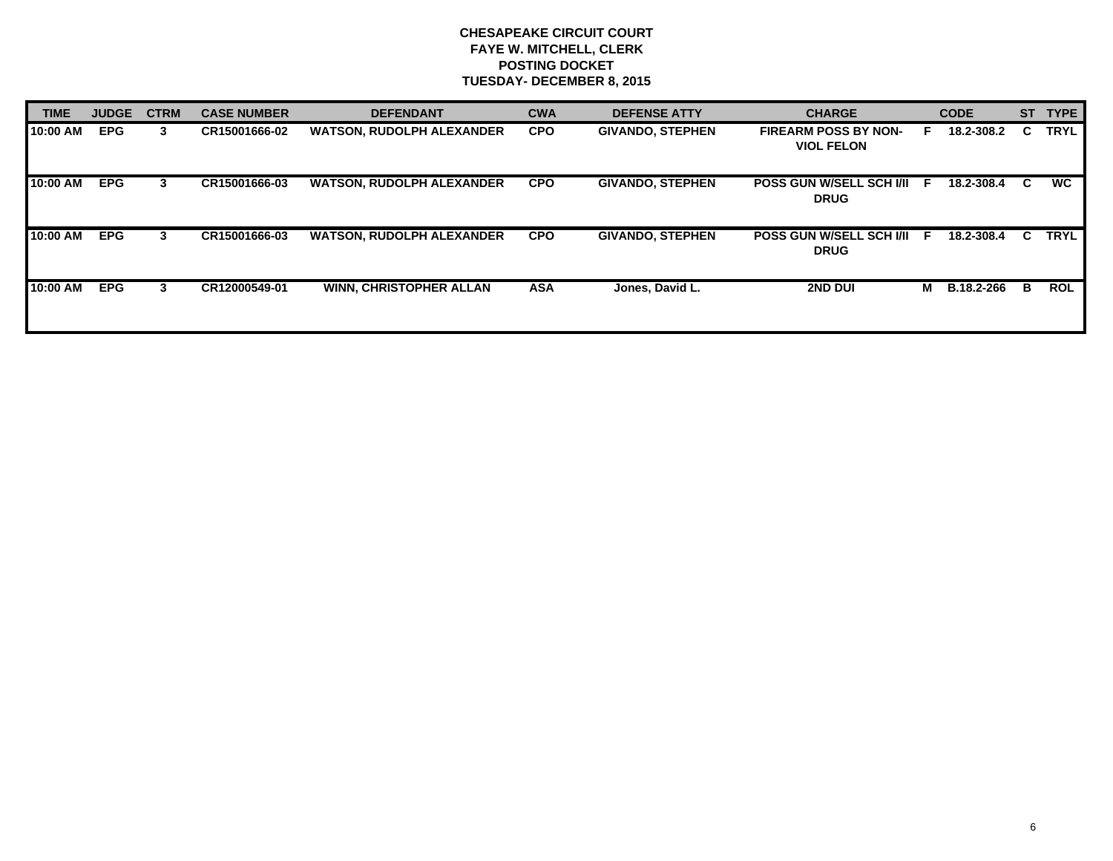| <b>TIME</b> | <b>JUDGE</b> | <b>CTRM</b> | <b>CASE NUMBER</b> | <b>DEFENDANT</b>                 | <b>CWA</b> | <b>DEFENSE ATTY</b>     | <b>CHARGE</b>                                    |    | <b>CODE</b>       | <b>ST</b> | <b>TYPE</b> |
|-------------|--------------|-------------|--------------------|----------------------------------|------------|-------------------------|--------------------------------------------------|----|-------------------|-----------|-------------|
| 10:00 AM    | <b>EPG</b>   | 3           | CR15001666-02      | <b>WATSON, RUDOLPH ALEXANDER</b> | <b>CPO</b> | <b>GIVANDO, STEPHEN</b> | <b>FIREARM POSS BY NON-</b><br><b>VIOL FELON</b> | ь. | 18.2-308.2        | C.        | <b>TRYL</b> |
| 10:00 AM    | <b>EPG</b>   | 3           | CR15001666-03      | <b>WATSON, RUDOLPH ALEXANDER</b> | <b>CPO</b> | <b>GIVANDO, STEPHEN</b> | <b>POSS GUN W/SELL SCH I/II</b><br><b>DRUG</b>   | F  | 18.2-308.4        | C.        | <b>WC</b>   |
| 10:00 AM    | <b>EPG</b>   | 3           | CR15001666-03      | <b>WATSON, RUDOLPH ALEXANDER</b> | <b>CPO</b> | <b>GIVANDO, STEPHEN</b> | <b>POSS GUN W/SELL SCH I/II F</b><br><b>DRUG</b> |    | 18.2-308.4        | C.        | <b>TRYL</b> |
| 10:00 AM    | <b>EPG</b>   | 3           | CR12000549-01      | <b>WINN, CHRISTOPHER ALLAN</b>   | <b>ASA</b> | Jones, David L.         | <b>2ND DUI</b>                                   | M  | <b>B.18.2-266</b> | в         | <b>ROL</b>  |